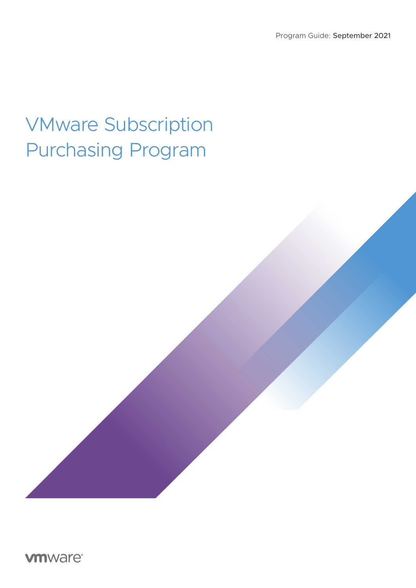## VMware Subscription Purchasing Program

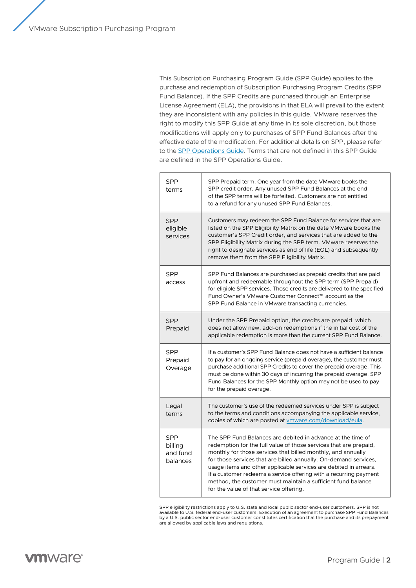This Subscription Purchasing Program Guide (SPP Guide) applies to the purchase and redemption of Subscription Purchasing Program Credits (SPP Fund Balance). If the SPP Credits are purchased through an Enterprise License Agreement (ELA), the provisions in that ELA will prevail to the extent they are inconsistent with any policies in this guide. VMware reserves the right to modify this SPP Guide at any time in its sole discretion, but those modifications will apply only to purchases of SPP Fund Balances after the effective date of the modification. For additional details on SPP, please refer to the [SPP Operations Guide.](https://www.vmware.com/content/dam/digitalmarketing/vmware/en/pdf/solutions/vmware-spp-operations-guide.pdf) Terms that are not defined in this SPP Guide are defined in the SPP Operations Guide.

| <b>SPP</b><br>terms                           | SPP Prepaid term: One year from the date VMware books the<br>SPP credit order. Any unused SPP Fund Balances at the end<br>of the SPP terms will be forfeited. Customers are not entitled<br>to a refund for any unused SPP Fund Balances.                                                                                                                                                                                                                                                                                 |
|-----------------------------------------------|---------------------------------------------------------------------------------------------------------------------------------------------------------------------------------------------------------------------------------------------------------------------------------------------------------------------------------------------------------------------------------------------------------------------------------------------------------------------------------------------------------------------------|
| <b>SPP</b><br>eligible<br>services            | Customers may redeem the SPP Fund Balance for services that are<br>listed on the SPP Eligibility Matrix on the date VMware books the<br>customer's SPP Credit order, and services that are added to the<br>SPP Eligibility Matrix during the SPP term. VMware reserves the<br>right to designate services as end of life (EOL) and subsequently<br>remove them from the SPP Eligibility Matrix.                                                                                                                           |
| <b>SPP</b><br>access                          | SPP Fund Balances are purchased as prepaid credits that are paid<br>upfront and redeemable throughout the SPP term (SPP Prepaid)<br>for eligible SPP services. Those credits are delivered to the specified<br>Fund Owner's VMware Customer Connect™ account as the<br>SPP Fund Balance in VMware transacting currencies.                                                                                                                                                                                                 |
| <b>SPP</b><br>Prepaid                         | Under the SPP Prepaid option, the credits are prepaid, which<br>does not allow new, add-on redemptions if the initial cost of the<br>applicable redemption is more than the current SPP Fund Balance.                                                                                                                                                                                                                                                                                                                     |
| SPP<br>Prepaid<br>Overage                     | If a customer's SPP Fund Balance does not have a sufficient balance<br>to pay for an ongoing service (prepaid overage), the customer must<br>purchase additional SPP Credits to cover the prepaid overage. This<br>must be done within 30 days of incurring the prepaid overage. SPP<br>Fund Balances for the SPP Monthly option may not be used to pay<br>for the prepaid overage.                                                                                                                                       |
| Legal<br>terms                                | The customer's use of the redeemed services under SPP is subject<br>to the terms and conditions accompanying the applicable service,<br>copies of which are posted at vmware.com/download/eula.                                                                                                                                                                                                                                                                                                                           |
| <b>SPP</b><br>billing<br>and fund<br>balances | The SPP Fund Balances are debited in advance at the time of<br>redemption for the full value of those services that are prepaid,<br>monthly for those services that billed monthly, and annually<br>for those services that are billed annually. On-demand services,<br>usage items and other applicable services are debited in arrears.<br>If a customer redeems a service offering with a recurring payment<br>method, the customer must maintain a sufficient fund balance<br>for the value of that service offering. |

SPP eligibility restrictions apply to U.S. state and local public sector end-user customers. SPP is not available to U.S. federal end-user customers. Execution of an agreement to purchase SPP Fund Balances by a U.S. public sector end-user customer constitutes certification that the purchase and its prepayment are allowed by applicable laws and regulations.